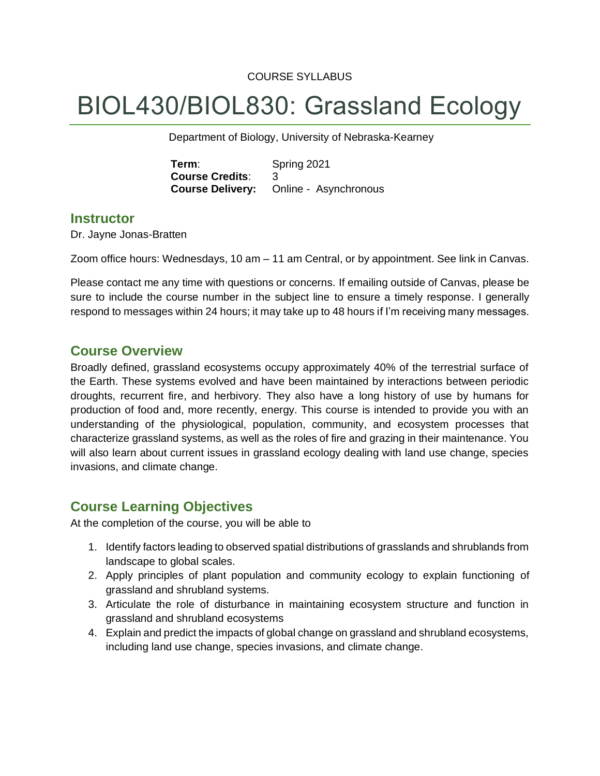#### COURSE SYLLABUS

# BIOL430/BIOL830: Grassland Ecology

Department of Biology, University of Nebraska-Kearney

**Term**: Spring 2021 **Course Credits**: 3 **Course Delivery:** Online - Asynchronous

#### **Instructor**

Dr. Jayne Jonas-Bratten

Zoom office hours: Wednesdays, 10 am – 11 am Central, or by appointment. See link in Canvas.

Please contact me any time with questions or concerns. If emailing outside of Canvas, please be sure to include the course number in the subject line to ensure a timely response. I generally respond to messages within 24 hours; it may take up to 48 hours if I'm receiving many messages.

## **Course Overview**

Broadly defined, grassland ecosystems occupy approximately 40% of the terrestrial surface of the Earth. These systems evolved and have been maintained by interactions between periodic droughts, recurrent fire, and herbivory. They also have a long history of use by humans for production of food and, more recently, energy. This course is intended to provide you with an understanding of the physiological, population, community, and ecosystem processes that characterize grassland systems, as well as the roles of fire and grazing in their maintenance. You will also learn about current issues in grassland ecology dealing with land use change, species invasions, and climate change.

## **Course Learning Objectives**

At the completion of the course, you will be able to

- 1. Identify factors leading to observed spatial distributions of grasslands and shrublands from landscape to global scales.
- 2. Apply principles of plant population and community ecology to explain functioning of grassland and shrubland systems.
- 3. Articulate the role of disturbance in maintaining ecosystem structure and function in grassland and shrubland ecosystems
- 4. Explain and predict the impacts of global change on grassland and shrubland ecosystems, including land use change, species invasions, and climate change.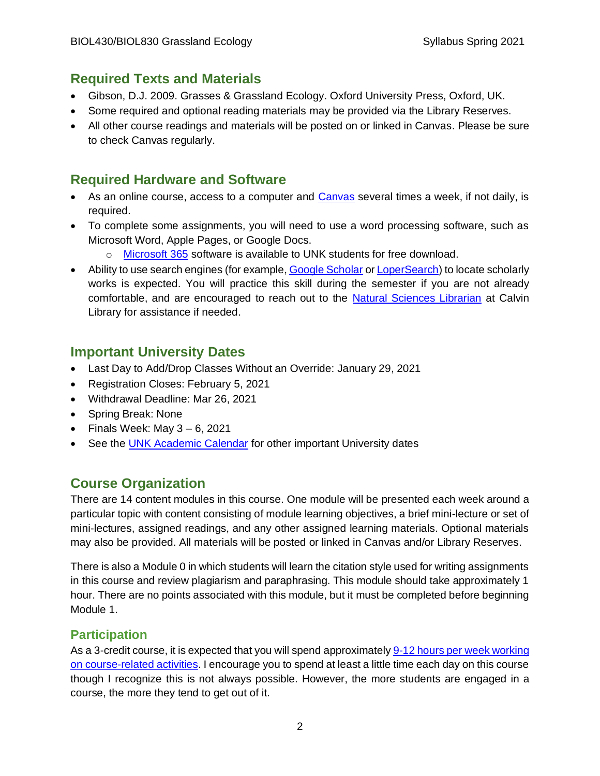# **Required Texts and Materials**

- Gibson, D.J. 2009. Grasses & Grassland Ecology. Oxford University Press, Oxford, UK.
- Some required and optional reading materials may be provided via the Library Reserves.
- All other course readings and materials will be posted on or linked in Canvas. Please be sure to check Canvas regularly.

# **Required Hardware and Software**

- As an online course, access to a computer and [Canvas](https://auth.unk.edu/idp/profile/SAML2/Redirect/SSO?execution=e3s1) several times a week, if not daily, is required.
- To complete some assignments, you will need to use a word processing software, such as Microsoft Word, Apple Pages, or Google Docs.
	- o [Microsoft 365](https://www.unk.edu/offices/its/instructional_technology/office365_unk_email/microsoft_office_download.php) software is available to UNK students for free download.
- Ability to use search engines (for example[, Google Scholar](https://scholar.google.com/) o[r LoperSearch\)](http://search.ebscohost.com/login.aspx?authtype=ip,guest&custid=s3210413&groupid=main&profile=eds) to locate scholarly works is expected. You will practice this skill during the semester if you are not already comfortable, and are encouraged to reach out to the [Natural Sciences Librarian](https://guides.library.unk.edu/NatrualSciences) at Calvin Library for assistance if needed.

# **Important University Dates**

- Last Day to Add/Drop Classes Without an Override: January 29, 2021
- Registration Closes: February 5, 2021
- Withdrawal Deadline: Mar 26, 2021
- Spring Break: None
- Finals Week: May  $3 6$ , 2021
- See the [UNK Academic Calendar](https://www.unk.edu/offices/registrar/academic_policies_handbook/Academic_Calendar.php) for other important University dates

# **Course Organization**

There are 14 content modules in this course. One module will be presented each week around a particular topic with content consisting of module learning objectives, a brief mini-lecture or set of mini-lectures, assigned readings, and any other assigned learning materials. Optional materials may also be provided. All materials will be posted or linked in Canvas and/or Library Reserves.

There is also a Module 0 in which students will learn the citation style used for writing assignments in this course and review plagiarism and paraphrasing. This module should take approximately 1 hour. There are no points associated with this module, but it must be completed before beginning Module 1.

# **Participation**

As a 3-credit course, it is expected that you will spend approximatel[y 9-12 hours per week working](https://www.unk.edu/academics/ecampus/about-us/frequently-asked-questions.php)  [on course-related activities.](https://www.unk.edu/academics/ecampus/about-us/frequently-asked-questions.php) I encourage you to spend at least a little time each day on this course though I recognize this is not always possible. However, the more students are engaged in a course, the more they tend to get out of it.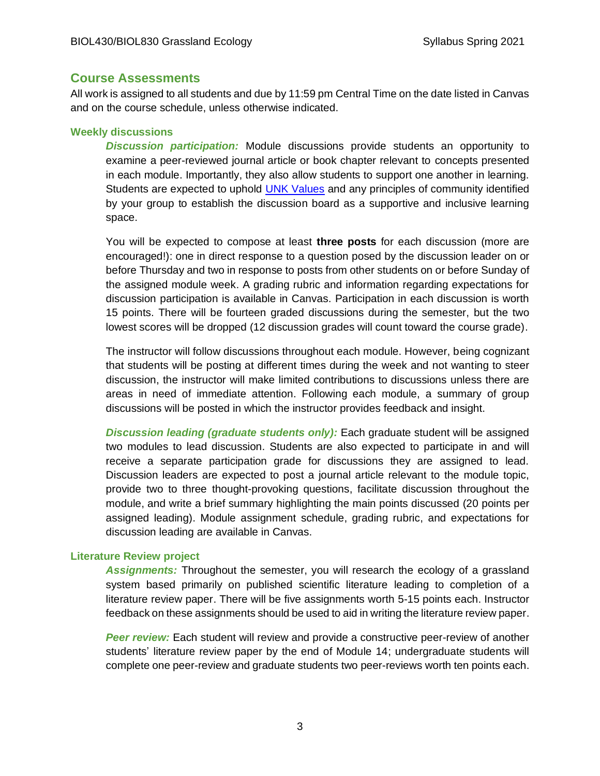#### **Course Assessments**

All work is assigned to all students and due by 11:59 pm Central Time on the date listed in Canvas and on the course schedule, unless otherwise indicated.

#### **Weekly discussions**

*Discussion participation:* Module discussions provide students an opportunity to examine a peer-reviewed journal article or book chapter relevant to concepts presented in each module. Importantly, they also allow students to support one another in learning. Students are expected to uphold [UNK Values](https://www.unk.edu/about/plan/mission,-vision,-and-values.php) and any principles of community identified by your group to establish the discussion board as a supportive and inclusive learning space.

You will be expected to compose at least **three posts** for each discussion (more are encouraged!): one in direct response to a question posed by the discussion leader on or before Thursday and two in response to posts from other students on or before Sunday of the assigned module week. A grading rubric and information regarding expectations for discussion participation is available in Canvas. Participation in each discussion is worth 15 points. There will be fourteen graded discussions during the semester, but the two lowest scores will be dropped (12 discussion grades will count toward the course grade).

The instructor will follow discussions throughout each module. However, being cognizant that students will be posting at different times during the week and not wanting to steer discussion, the instructor will make limited contributions to discussions unless there are areas in need of immediate attention. Following each module, a summary of group discussions will be posted in which the instructor provides feedback and insight.

*Discussion leading (graduate students only):* Each graduate student will be assigned two modules to lead discussion. Students are also expected to participate in and will receive a separate participation grade for discussions they are assigned to lead. Discussion leaders are expected to post a journal article relevant to the module topic, provide two to three thought-provoking questions, facilitate discussion throughout the module, and write a brief summary highlighting the main points discussed (20 points per assigned leading). Module assignment schedule, grading rubric, and expectations for discussion leading are available in Canvas.

#### **Literature Review project**

*Assignments:* Throughout the semester, you will research the ecology of a grassland system based primarily on published scientific literature leading to completion of a literature review paper. There will be five assignments worth 5-15 points each. Instructor feedback on these assignments should be used to aid in writing the literature review paper.

*Peer review:* Each student will review and provide a constructive peer-review of another students' literature review paper by the end of Module 14; undergraduate students will complete one peer-review and graduate students two peer-reviews worth ten points each.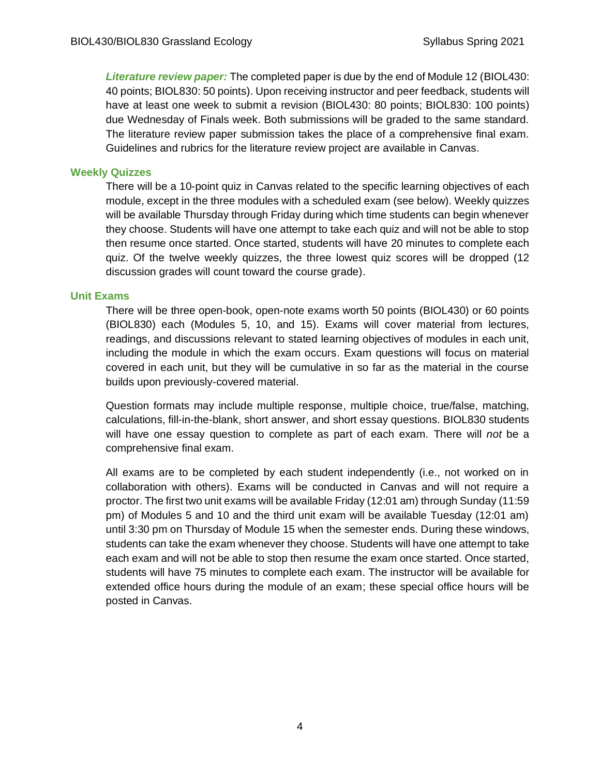*Literature review paper:* The completed paper is due by the end of Module 12 (BIOL430: 40 points; BIOL830: 50 points). Upon receiving instructor and peer feedback, students will have at least one week to submit a revision (BIOL430: 80 points; BIOL830: 100 points) due Wednesday of Finals week. Both submissions will be graded to the same standard. The literature review paper submission takes the place of a comprehensive final exam. Guidelines and rubrics for the literature review project are available in Canvas.

#### **Weekly Quizzes**

There will be a 10-point quiz in Canvas related to the specific learning objectives of each module, except in the three modules with a scheduled exam (see below). Weekly quizzes will be available Thursday through Friday during which time students can begin whenever they choose. Students will have one attempt to take each quiz and will not be able to stop then resume once started. Once started, students will have 20 minutes to complete each quiz. Of the twelve weekly quizzes, the three lowest quiz scores will be dropped (12 discussion grades will count toward the course grade).

#### **Unit Exams**

There will be three open-book, open-note exams worth 50 points (BIOL430) or 60 points (BIOL830) each (Modules 5, 10, and 15). Exams will cover material from lectures, readings, and discussions relevant to stated learning objectives of modules in each unit, including the module in which the exam occurs. Exam questions will focus on material covered in each unit, but they will be cumulative in so far as the material in the course builds upon previously-covered material.

Question formats may include multiple response, multiple choice, true/false, matching, calculations, fill-in-the-blank, short answer, and short essay questions. BIOL830 students will have one essay question to complete as part of each exam. There will *not* be a comprehensive final exam.

All exams are to be completed by each student independently (i.e., not worked on in collaboration with others). Exams will be conducted in Canvas and will not require a proctor. The first two unit exams will be available Friday (12:01 am) through Sunday (11:59 pm) of Modules 5 and 10 and the third unit exam will be available Tuesday (12:01 am) until 3:30 pm on Thursday of Module 15 when the semester ends. During these windows, students can take the exam whenever they choose. Students will have one attempt to take each exam and will not be able to stop then resume the exam once started. Once started, students will have 75 minutes to complete each exam. The instructor will be available for extended office hours during the module of an exam; these special office hours will be posted in Canvas.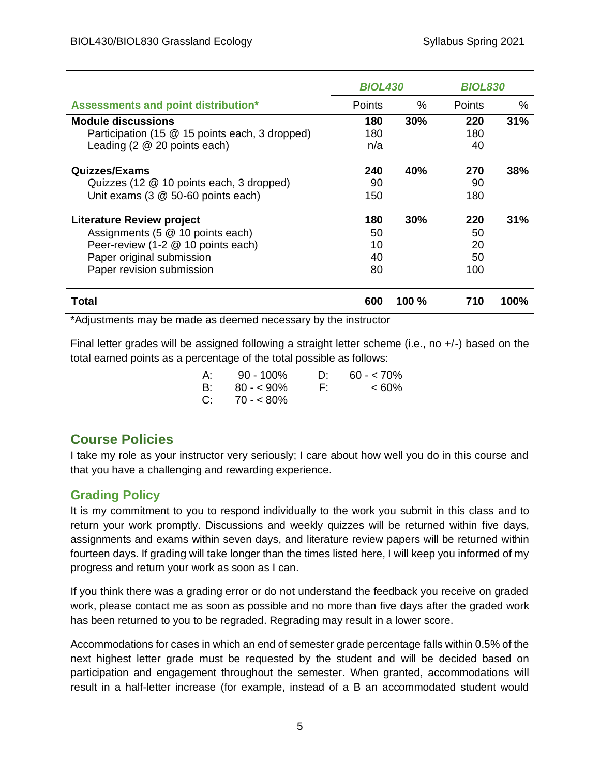|                                                                                                                               | <b>BIOL430</b> |          | <b>BIOL830</b> |      |
|-------------------------------------------------------------------------------------------------------------------------------|----------------|----------|----------------|------|
| Assessments and point distribution*                                                                                           | Points         | %        | <b>Points</b>  | ℅    |
| <b>Module discussions</b>                                                                                                     | 180            | 30%      | 220            | 31%  |
| Participation (15 @ 15 points each, 3 dropped)                                                                                | 180            |          | 180            |      |
| Leading $(2 \t@ 20$ points each)                                                                                              | n/a            |          | 40             |      |
| Quizzes/Exams                                                                                                                 | 240            | 40%      | 270            | 38%  |
| Quizzes (12 @ 10 points each, 3 dropped)                                                                                      | 90             |          | 90             |      |
| Unit exams (3 @ 50-60 points each)                                                                                            | 150            |          | 180            |      |
| <b>Literature Review project</b>                                                                                              | 180            | 30%      | 220            | 31%  |
| Assignments (5 @ 10 points each)                                                                                              | 50             |          | 50             |      |
| Peer-review (1-2 @ 10 points each)                                                                                            | 10             |          | 20             |      |
| Paper original submission                                                                                                     | 40             |          | 50             |      |
| Paper revision submission                                                                                                     | 80             |          | 100            |      |
| <b>Total</b><br>₩ Andhood as a start as a start as a start and all as a start and a start and the start as a fact and a start | 600            | $100 \%$ | 710            | 100% |

\*Adjustments may be made as deemed necessary by the instructor

Final letter grades will be assigned following a straight letter scheme (i.e., no +/-) based on the total earned points as a percentage of the total possible as follows:

| A: . | 90 - 100%    | $\mathbf{D}^*$ | $60 - 70\%$ |
|------|--------------|----------------|-------------|
| B:   | $80 - 590\%$ | E:             | $<60\%$     |
| C:   | $70 - 80\%$  |                |             |

# **Course Policies**

I take my role as your instructor very seriously; I care about how well you do in this course and that you have a challenging and rewarding experience.

# **Grading Policy**

It is my commitment to you to respond individually to the work you submit in this class and to return your work promptly. Discussions and weekly quizzes will be returned within five days, assignments and exams within seven days, and literature review papers will be returned within fourteen days. If grading will take longer than the times listed here, I will keep you informed of my progress and return your work as soon as I can.

If you think there was a grading error or do not understand the feedback you receive on graded work, please contact me as soon as possible and no more than five days after the graded work has been returned to you to be regraded. Regrading may result in a lower score.

Accommodations for cases in which an end of semester grade percentage falls within 0.5% of the next highest letter grade must be requested by the student and will be decided based on participation and engagement throughout the semester. When granted, accommodations will result in a half-letter increase (for example, instead of a B an accommodated student would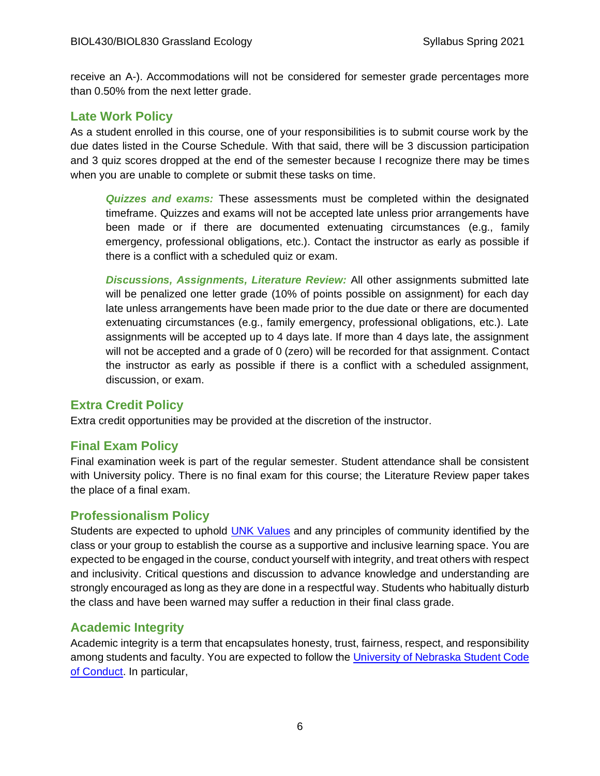receive an A-). Accommodations will not be considered for semester grade percentages more than 0.50% from the next letter grade.

#### **Late Work Policy**

As a student enrolled in this course, one of your responsibilities is to submit course work by the due dates listed in the Course Schedule. With that said, there will be 3 discussion participation and 3 quiz scores dropped at the end of the semester because I recognize there may be times when you are unable to complete or submit these tasks on time.

*Quizzes and exams:* These assessments must be completed within the designated timeframe. Quizzes and exams will not be accepted late unless prior arrangements have been made or if there are documented extenuating circumstances (e.g., family emergency, professional obligations, etc.). Contact the instructor as early as possible if there is a conflict with a scheduled quiz or exam.

*Discussions, Assignments, Literature Review:* All other assignments submitted late will be penalized one letter grade (10% of points possible on assignment) for each day late unless arrangements have been made prior to the due date or there are documented extenuating circumstances (e.g., family emergency, professional obligations, etc.). Late assignments will be accepted up to 4 days late. If more than 4 days late, the assignment will not be accepted and a grade of 0 (zero) will be recorded for that assignment. Contact the instructor as early as possible if there is a conflict with a scheduled assignment, discussion, or exam.

#### **Extra Credit Policy**

Extra credit opportunities may be provided at the discretion of the instructor.

## **Final Exam Policy**

Final examination week is part of the regular semester. Student attendance shall be consistent with University policy. There is no final exam for this course; the Literature Review paper takes the place of a final exam.

#### **Professionalism Policy**

Students are expected to uphold [UNK Values](https://www.unk.edu/about/plan/mission,-vision,-and-values.php) and any principles of community identified by the class or your group to establish the course as a supportive and inclusive learning space. You are expected to be engaged in the course, conduct yourself with integrity, and treat others with respect and inclusivity. Critical questions and discussion to advance knowledge and understanding are strongly encouraged as long as they are done in a respectful way. Students who habitually disturb the class and have been warned may suffer a reduction in their final class grade.

#### **Academic Integrity**

Academic integrity is a term that encapsulates honesty, trust, fairness, respect, and responsibility among students and faculty. You are expected to follow the [University of Nebraska Student Code](https://www.unk.edu/offices/reslife/_documents/university-of-nebraska-at-kearney-student-code-of-conduct.pdf)  [of Conduct](https://www.unk.edu/offices/reslife/_documents/university-of-nebraska-at-kearney-student-code-of-conduct.pdf). In particular,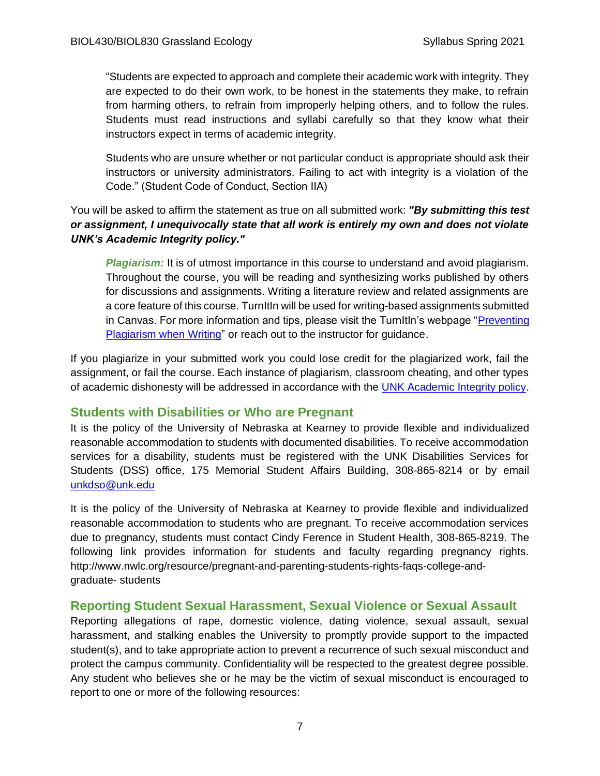"Students are expected to approach and complete their academic work with integrity. They are expected to do their own work, to be honest in the statements they make, to refrain from harming others, to refrain from improperly helping others, and to follow the rules. Students must read instructions and syllabi carefully so that they know what their instructors expect in terms of academic integrity.

Students who are unsure whether or not particular conduct is appropriate should ask their instructors or university administrators. Failing to act with integrity is a violation of the Code." (Student Code of Conduct, Section IIA)

#### You will be asked to affirm the statement as true on all submitted work: "By submitting this test *or assignment, I unequivocally state that all work is entirely my own and does not violate UNK's Academic Integrity policy."*

*Plagiarism:* It is of utmost importance in this course to understand and avoid plagiarism. Throughout the course, you will be reading and synthesizing works published by others for discussions and assignments. Writing a literature review and related assignments are a core feature of this course. TurnItIn will be used for writing-based assignments submitted in Canvas. For more information and tips, please visit the TurnItIn's webpage ["Preventing](https://plagiarism.org/article/preventing-plagiarism-when-writing)  [Plagiarism when Writing"](https://plagiarism.org/article/preventing-plagiarism-when-writing) or reach out to the instructor for guidance.

If you plagiarize in your submitted work you could lose credit for the plagiarized work, fail the assignment, or fail the course. Each instance of plagiarism, classroom cheating, and other types of academic dishonesty will be addressed in accordance with the [UNK Academic Integrity policy](https://catalog.unk.edu/undergraduate/academics/academic-regulations/academic-integrity-policy/).

## **Students with Disabilities or Who are Pregnant**

It is the policy of the University of Nebraska at Kearney to provide flexible and individualized reasonable accommodation to students with documented disabilities. To receive accommodation services for a disability, students must be registered with the UNK Disabilities Services for Students (DSS) office, 175 Memorial Student Affairs Building, 308-865-8214 or by email [unkdso@unk.edu](mailto:unkdso@unk.edu)

It is the policy of the University of Nebraska at Kearney to provide flexible and individualized reasonable accommodation to students who are pregnant. To receive accommodation services due to pregnancy, students must contact Cindy Ference in Student Health, 308-865-8219. The following link provides information for students and faculty regarding pregnancy rights. http://www.nwlc.org/resource/pregnant-and-parenting-students-rights-faqs-college-andgraduate- students

## **Reporting Student Sexual Harassment, Sexual Violence or Sexual Assault**

Reporting allegations of rape, domestic violence, dating violence, sexual assault, sexual harassment, and stalking enables the University to promptly provide support to the impacted student(s), and to take appropriate action to prevent a recurrence of such sexual misconduct and protect the campus community. Confidentiality will be respected to the greatest degree possible. Any student who believes she or he may be the victim of sexual misconduct is encouraged to report to one or more of the following resources: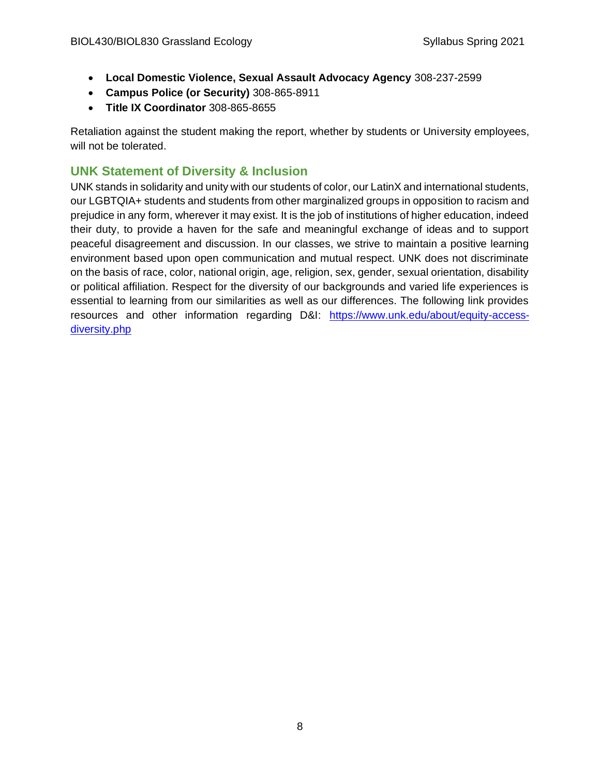- **Local Domestic Violence, Sexual Assault Advocacy Agency** 308-237-2599
- **Campus Police (or Security)** 308-865-8911
- **Title IX Coordinator** 308-865-8655

Retaliation against the student making the report, whether by students or University employees, will not be tolerated.

# **UNK Statement of Diversity & Inclusion**

UNK stands in solidarity and unity with our students of color, our LatinX and international students, our LGBTQIA+ students and students from other marginalized groups in opposition to racism and prejudice in any form, wherever it may exist. It is the job of institutions of higher education, indeed their duty, to provide a haven for the safe and meaningful exchange of ideas and to support peaceful disagreement and discussion. In our classes, we strive to maintain a positive learning environment based upon open communication and mutual respect. UNK does not discriminate on the basis of race, color, national origin, age, religion, sex, gender, sexual orientation, disability or political affiliation. Respect for the diversity of our backgrounds and varied life experiences is essential to learning from our similarities as well as our differences. The following link provides resources and other information regarding D&I: [https://www.unk.edu/about/equity-access](https://www.unk.edu/about/equity-access-diversity.php)[diversity.php](https://www.unk.edu/about/equity-access-diversity.php)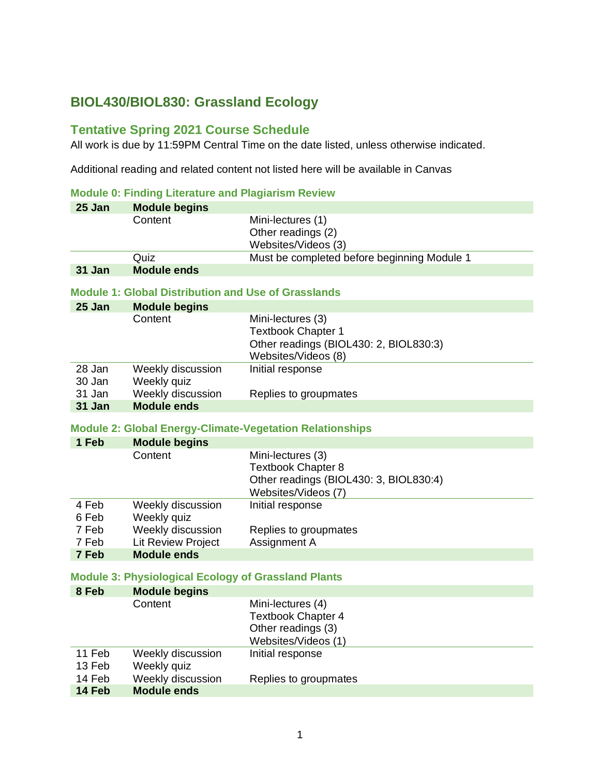# **BIOL430/BIOL830: Grassland Ecology**

## **Tentative Spring 2021 Course Schedule**

All work is due by 11:59PM Central Time on the date listed, unless otherwise indicated.

Additional reading and related content not listed here will be available in Canvas

#### **Module 0: Finding Literature and Plagiarism Review**

|                                  | <u>Moutile 6. Finality Enclarity and Fiaglansin Neview</u>                  |                                                                                                                 |
|----------------------------------|-----------------------------------------------------------------------------|-----------------------------------------------------------------------------------------------------------------|
| 25 Jan                           | <b>Module begins</b>                                                        |                                                                                                                 |
|                                  | Content                                                                     | Mini-lectures (1)<br>Other readings (2)<br>Websites/Videos (3)                                                  |
|                                  | Quiz                                                                        | Must be completed before beginning Module 1                                                                     |
| 31 Jan                           | <b>Module ends</b>                                                          |                                                                                                                 |
|                                  | <b>Module 1: Global Distribution and Use of Grasslands</b>                  |                                                                                                                 |
| 25 Jan                           | <b>Module begins</b>                                                        |                                                                                                                 |
|                                  | Content                                                                     | Mini-lectures (3)<br><b>Textbook Chapter 1</b><br>Other readings (BIOL430: 2, BIOL830:3)<br>Websites/Videos (8) |
| 28 Jan<br>30 Jan                 | Weekly discussion<br>Weekly quiz                                            | Initial response                                                                                                |
| 31 Jan                           | Weekly discussion                                                           | Replies to groupmates                                                                                           |
| 31 Jan                           | <b>Module ends</b>                                                          |                                                                                                                 |
|                                  |                                                                             | <b>Module 2: Global Energy-Climate-Vegetation Relationships</b>                                                 |
| 1 Feb                            | <b>Module begins</b>                                                        |                                                                                                                 |
|                                  | Content                                                                     | Mini-lectures (3)<br><b>Textbook Chapter 8</b><br>Other readings (BIOL430: 3, BIOL830:4)<br>Websites/Videos (7) |
| 4 Feb<br>6 Feb<br>7 Feb<br>7 Feb | Weekly discussion<br>Weekly quiz<br>Weekly discussion<br>Lit Review Project | Initial response<br>Replies to groupmates<br>Assignment A                                                       |
| 7 Feb                            | <b>Module ends</b>                                                          |                                                                                                                 |
|                                  | <b>Module 3: Physiological Ecology of Grassland Plants</b>                  |                                                                                                                 |
| 8 Feb                            | <b>Module begins</b>                                                        |                                                                                                                 |
|                                  | Content                                                                     | Mini-lectures (4)<br><b>Textbook Chapter 4</b><br>Other readings (3)<br>Websites/Videos (1)                     |
| 11 Feb<br>13 Feb                 | Weekly discussion<br>Weekly quiz                                            | Initial response                                                                                                |
| 14 Feb<br>14 Feb                 | Weekly discussion<br><b>Module ends</b>                                     | Replies to groupmates                                                                                           |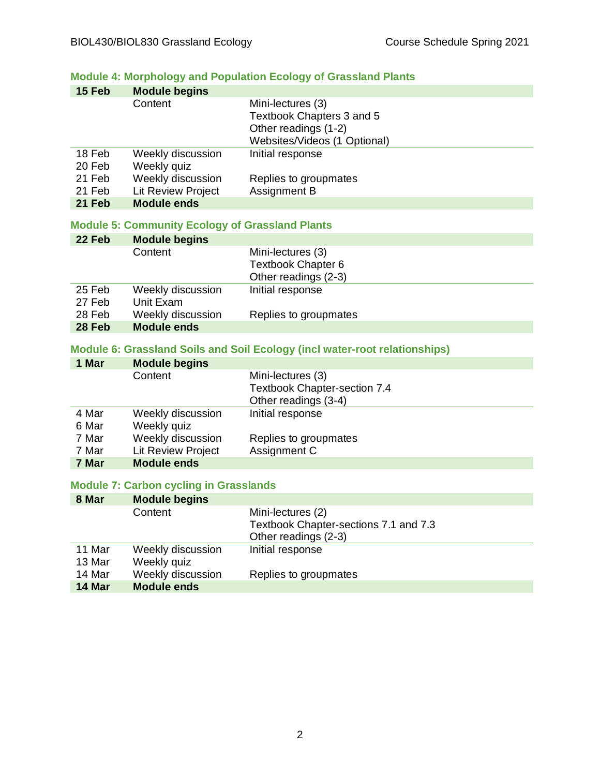## **Module 4: Morphology and Population Ecology of Grassland Plants**

| 15 Feb | <b>Module begins</b>      |                              |
|--------|---------------------------|------------------------------|
|        | Content                   | Mini-lectures (3)            |
|        |                           | Textbook Chapters 3 and 5    |
|        |                           | Other readings (1-2)         |
|        |                           | Websites/Videos (1 Optional) |
| 18 Feb | Weekly discussion         | Initial response             |
| 20 Feb | Weekly quiz               |                              |
| 21 Feb | Weekly discussion         | Replies to groupmates        |
| 21 Feb | <b>Lit Review Project</b> | Assignment B                 |
| 21 Feb | <b>Module ends</b>        |                              |

#### **Module 5: Community Ecology of Grassland Plants**

| 22 Feb | <b>Module begins</b> |                           |
|--------|----------------------|---------------------------|
|        | Content              | Mini-lectures (3)         |
|        |                      | <b>Textbook Chapter 6</b> |
|        |                      | Other readings (2-3)      |
| 25 Feb | Weekly discussion    | Initial response          |
| 27 Feb | Unit Exam            |                           |
| 28 Feb | Weekly discussion    | Replies to groupmates     |
| 28 Feb | <b>Module ends</b>   |                           |

#### **Module 6: Grassland Soils and Soil Ecology (incl water-root relationships)**

| 1 Mar | <b>Module begins</b> |                                     |
|-------|----------------------|-------------------------------------|
|       | Content              | Mini-lectures (3)                   |
|       |                      | <b>Textbook Chapter-section 7.4</b> |
|       |                      | Other readings (3-4)                |
| 4 Mar | Weekly discussion    | Initial response                    |
| 6 Mar | Weekly quiz          |                                     |
| 7 Mar | Weekly discussion    | Replies to groupmates               |
| 7 Mar | Lit Review Project   | Assignment C                        |
| 7 Mar | <b>Module ends</b>   |                                     |

#### **Module 7: Carbon cycling in Grasslands**

| 8 Mar  | <b>Module begins</b> |                                       |
|--------|----------------------|---------------------------------------|
|        | Content              | Mini-lectures (2)                     |
|        |                      | Textbook Chapter-sections 7.1 and 7.3 |
|        |                      | Other readings (2-3)                  |
| 11 Mar | Weekly discussion    | Initial response                      |
| 13 Mar | Weekly quiz          |                                       |
| 14 Mar | Weekly discussion    | Replies to groupmates                 |
| 14 Mar | <b>Module ends</b>   |                                       |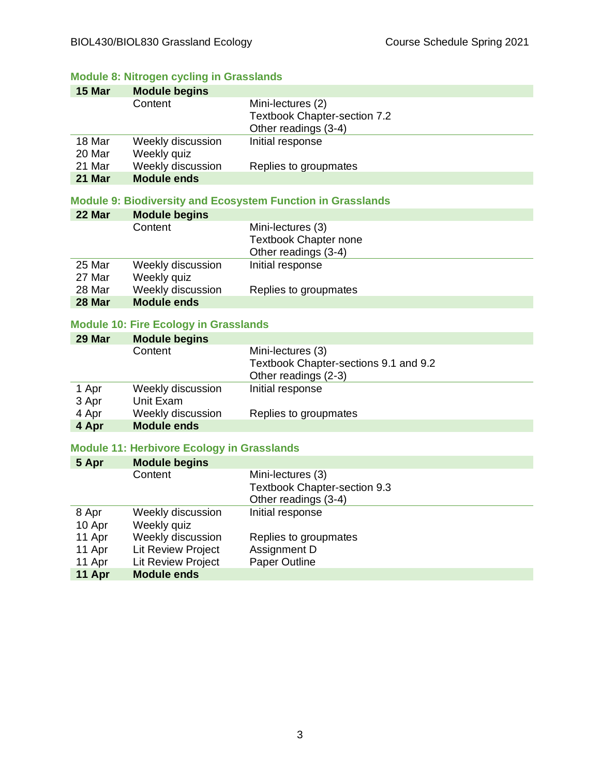## **Module 8: Nitrogen cycling in Grasslands**

| 15 Mar | <b>Module begins</b> |                              |
|--------|----------------------|------------------------------|
|        | Content              | Mini-lectures (2)            |
|        |                      | Textbook Chapter-section 7.2 |
|        |                      | Other readings (3-4)         |
| 18 Mar | Weekly discussion    | Initial response             |
| 20 Mar | Weekly quiz          |                              |
| 21 Mar | Weekly discussion    | Replies to groupmates        |
| 21 Mar | <b>Module ends</b>   |                              |

#### **Module 9: Biodiversity and Ecosystem Function in Grasslands**

| 22 Mar | <b>Module begins</b> |                              |
|--------|----------------------|------------------------------|
|        | Content              | Mini-lectures (3)            |
|        |                      | <b>Textbook Chapter none</b> |
|        |                      | Other readings (3-4)         |
| 25 Mar | Weekly discussion    | Initial response             |
| 27 Mar | Weekly quiz          |                              |
| 28 Mar | Weekly discussion    | Replies to groupmates        |
| 28 Mar | <b>Module ends</b>   |                              |

#### **Module 10: Fire Ecology in Grasslands**

| 29 Mar | <b>Module begins</b> |                                       |
|--------|----------------------|---------------------------------------|
|        | Content              | Mini-lectures (3)                     |
|        |                      | Textbook Chapter-sections 9.1 and 9.2 |
|        |                      | Other readings (2-3)                  |
| 1 Apr  | Weekly discussion    | Initial response                      |
| 3 Apr  | Unit Exam            |                                       |
| 4 Apr  | Weekly discussion    | Replies to groupmates                 |
| 4 Apr  | <b>Module ends</b>   |                                       |

#### **Module 11: Herbivore Ecology in Grasslands**

| 5 Apr  | <b>Module begins</b>      |                                     |
|--------|---------------------------|-------------------------------------|
|        | Content                   | Mini-lectures (3)                   |
|        |                           | <b>Textbook Chapter-section 9.3</b> |
|        |                           | Other readings (3-4)                |
| 8 Apr  | Weekly discussion         | Initial response                    |
| 10 Apr | Weekly quiz               |                                     |
| 11 Apr | Weekly discussion         | Replies to groupmates               |
| 11 Apr | <b>Lit Review Project</b> | Assignment D                        |
| 11 Apr | <b>Lit Review Project</b> | Paper Outline                       |
| 11 Apr | <b>Module ends</b>        |                                     |